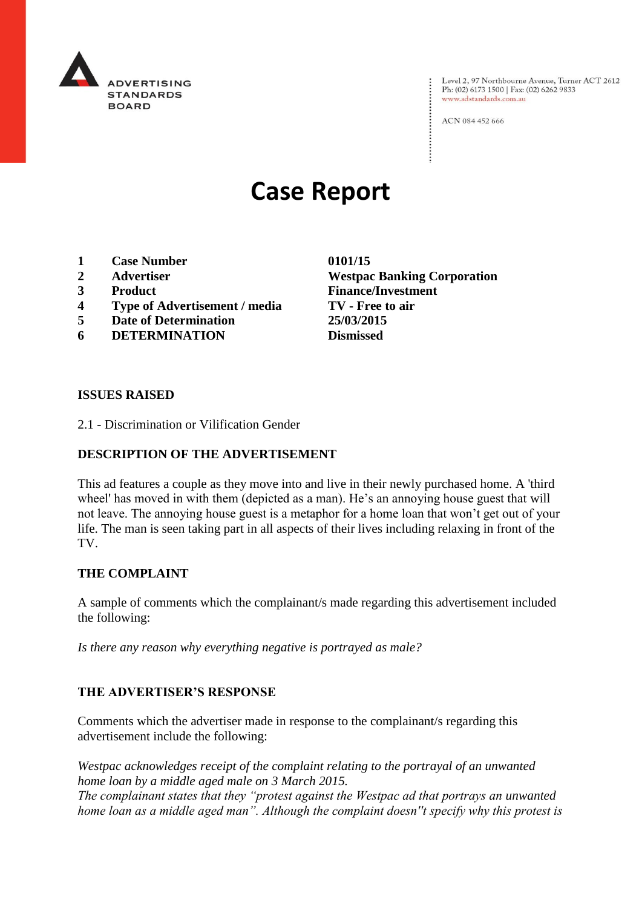

Level 2, 97 Northbourne Avenue, Turner ACT 2612<br>Ph: (02) 6173 1500 | Fax: (02) 6262 9833 www.adstandards.com.au

ACN 084 452 666

# **Case Report**

- **1 Case Number 0101/15**
- 
- 
- **4 Type of Advertisement / media TV - Free to air**
- **5 Date of Determination 25/03/2015**
- **6 DETERMINATION Dismissed**

**2 Advertiser Westpac Banking Corporation 3 Product Finance/Investment**

#### **ISSUES RAISED**

2.1 - Discrimination or Vilification Gender

#### **DESCRIPTION OF THE ADVERTISEMENT**

This ad features a couple as they move into and live in their newly purchased home. A 'third wheel' has moved in with them (depicted as a man). He's an annoying house guest that will not leave. The annoying house guest is a metaphor for a home loan that won't get out of your life. The man is seen taking part in all aspects of their lives including relaxing in front of the TV.

### **THE COMPLAINT**

A sample of comments which the complainant/s made regarding this advertisement included the following:

*Is there any reason why everything negative is portrayed as male?*

#### **THE ADVERTISER'S RESPONSE**

Comments which the advertiser made in response to the complainant/s regarding this advertisement include the following:

*Westpac acknowledges receipt of the complaint relating to the portrayal of an unwanted home loan by a middle aged male on 3 March 2015.*

*The complainant states that they "protest against the Westpac ad that portrays an unwanted home loan as a middle aged man". Although the complaint doesn''t specify why this protest is*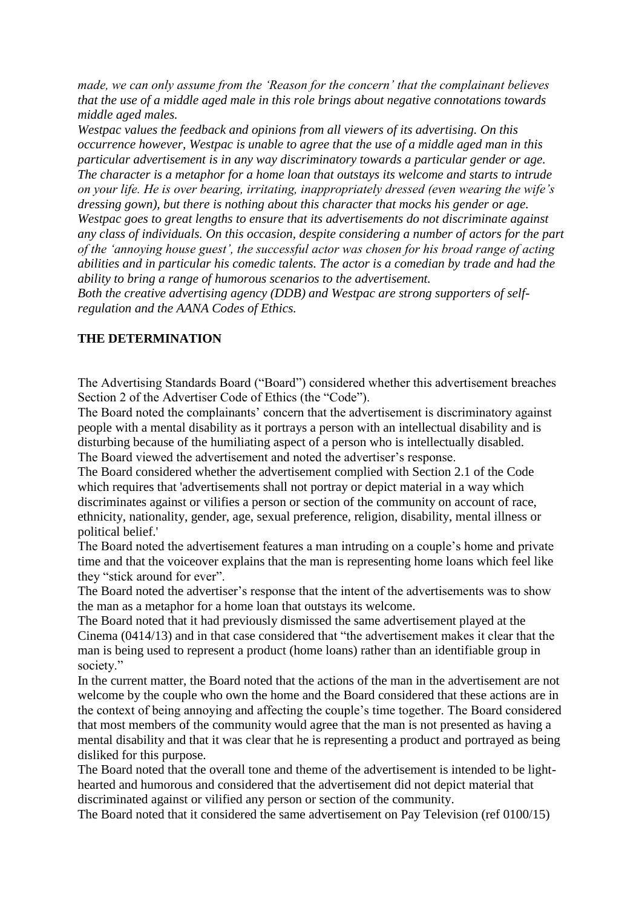*made, we can only assume from the 'Reason for the concern' that the complainant believes that the use of a middle aged male in this role brings about negative connotations towards middle aged males.*

*Westpac values the feedback and opinions from all viewers of its advertising. On this occurrence however, Westpac is unable to agree that the use of a middle aged man in this particular advertisement is in any way discriminatory towards a particular gender or age. The character is a metaphor for a home loan that outstays its welcome and starts to intrude on your life. He is over bearing, irritating, inappropriately dressed (even wearing the wife's dressing gown), but there is nothing about this character that mocks his gender or age. Westpac goes to great lengths to ensure that its advertisements do not discriminate against any class of individuals. On this occasion, despite considering a number of actors for the part of the 'annoying house guest', the successful actor was chosen for his broad range of acting abilities and in particular his comedic talents. The actor is a comedian by trade and had the ability to bring a range of humorous scenarios to the advertisement.*

*Both the creative advertising agency (DDB) and Westpac are strong supporters of selfregulation and the AANA Codes of Ethics.*

## **THE DETERMINATION**

The Advertising Standards Board ("Board") considered whether this advertisement breaches Section 2 of the Advertiser Code of Ethics (the "Code").

The Board noted the complainants' concern that the advertisement is discriminatory against people with a mental disability as it portrays a person with an intellectual disability and is disturbing because of the humiliating aspect of a person who is intellectually disabled. The Board viewed the advertisement and noted the advertiser's response.

The Board considered whether the advertisement complied with Section 2.1 of the Code which requires that 'advertisements shall not portray or depict material in a way which discriminates against or vilifies a person or section of the community on account of race, ethnicity, nationality, gender, age, sexual preference, religion, disability, mental illness or political belief.'

The Board noted the advertisement features a man intruding on a couple's home and private time and that the voiceover explains that the man is representing home loans which feel like they "stick around for ever".

The Board noted the advertiser's response that the intent of the advertisements was to show the man as a metaphor for a home loan that outstays its welcome.

The Board noted that it had previously dismissed the same advertisement played at the Cinema (0414/13) and in that case considered that "the advertisement makes it clear that the man is being used to represent a product (home loans) rather than an identifiable group in society."

In the current matter, the Board noted that the actions of the man in the advertisement are not welcome by the couple who own the home and the Board considered that these actions are in the context of being annoying and affecting the couple's time together. The Board considered that most members of the community would agree that the man is not presented as having a mental disability and that it was clear that he is representing a product and portrayed as being disliked for this purpose.

The Board noted that the overall tone and theme of the advertisement is intended to be lighthearted and humorous and considered that the advertisement did not depict material that discriminated against or vilified any person or section of the community.

The Board noted that it considered the same advertisement on Pay Television (ref 0100/15)